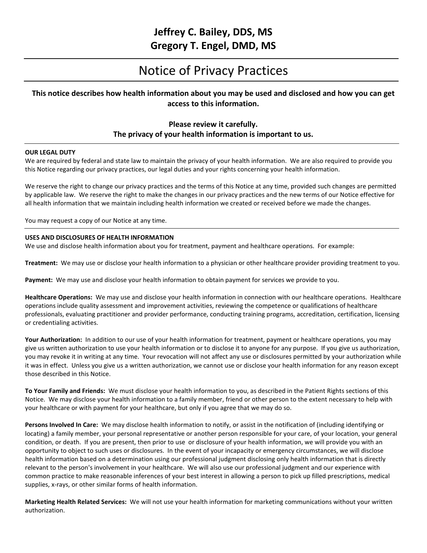## **Jeffrey C. Bailey, DDS, MS Gregory T. Engel, DMD, MS**

# Notice of Privacy Practices

## **This notice describes how health information about you may be used and disclosed and how you can get access to this information.**

### **Please review it carefully. The privacy of your health information is important to us.**

#### **OUR LEGAL DUTY**

We are required by federal and state law to maintain the privacy of your health information. We are also required to provide you this Notice regarding our privacy practices, our legal duties and your rights concerning your health information.

We reserve the right to change our privacy practices and the terms of this Notice at any time, provided such changes are permitted by applicable law. We reserve the right to make the changes in our privacy practices and the new terms of our Notice effective for all health information that we maintain including health information we created or received before we made the changes.

You may request a copy of our Notice at any time.

#### **USES AND DISCLOSURES OF HEALTH INFORMATION**

We use and disclose health information about you for treatment, payment and healthcare operations. For example:

**Treatment:** We may use or disclose your health information to a physician or other healthcare provider providing treatment to you.

**Payment:** We may use and disclose your health information to obtain payment for services we provide to you.

**Healthcare Operations:** We may use and disclose your health information in connection with our healthcare operations. Healthcare operations include quality assessment and improvement activities, reviewing the competence or qualifications of healthcare professionals, evaluating practitioner and provider performance, conducting training programs, accreditation, certification, licensing or credentialing activities.

**Your Authorization:** In addition to our use of your health information for treatment, payment or healthcare operations, you may give us written authorization to use your health information or to disclose it to anyone for any purpose. If you give us authorization, you may revoke it in writing at any time. Your revocation will not affect any use or disclosures permitted by your authorization while it was in effect. Unless you give us a written authorization, we cannot use or disclose your health information for any reason except those described in this Notice.

**To Your Family and Friends:** We must disclose your health information to you, as described in the Patient Rights sections of this Notice. We may disclose your health information to a family member, friend or other person to the extent necessary to help with your healthcare or with payment for your healthcare, but only if you agree that we may do so.

**Persons Involved In Care:** We may disclose health information to notify, or assist in the notification of (including identifying or locating) a family member, your personal representative or another person responsible for your care, of your location, your general condition, or death. If you are present, then prior to use or disclosure of your health information, we will provide you with an opportunity to object to such uses or disclosures. In the event of your incapacity or emergency circumstances, we will disclose health information based on a determination using our professional judgment disclosing only health information that is directly relevant to the person's involvement in your healthcare. We will also use our professional judgment and our experience with common practice to make reasonable inferences of your best interest in allowing a person to pick up filled prescriptions, medical supplies, x-rays, or other similar forms of health information.

**Marketing Health Related Services:** We will not use your health information for marketing communications without your written authorization.